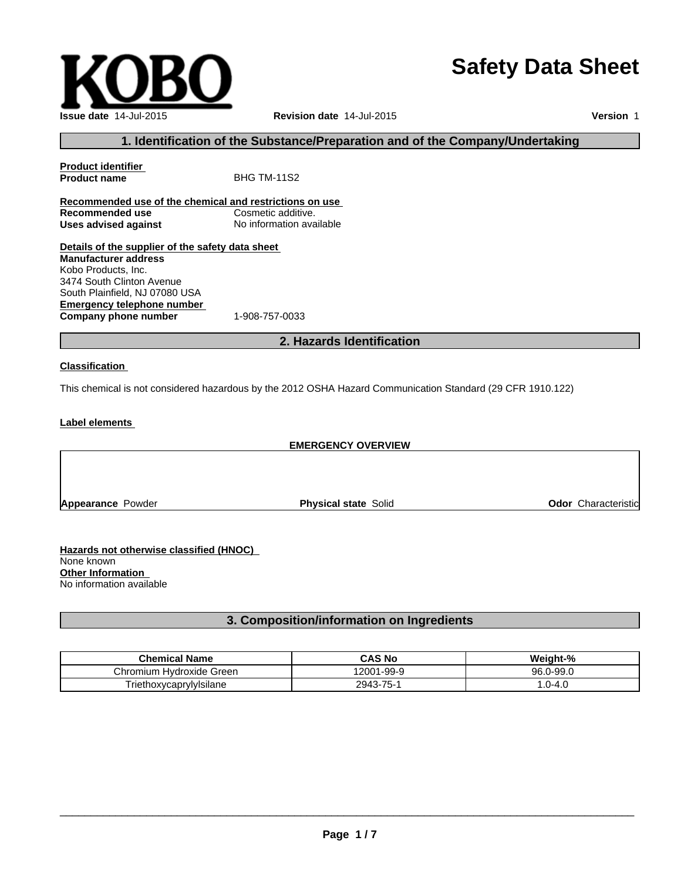# **Safety Data Sheet**

**Page 1 / 7**

**Issue date** 14-Jul-2015 **Revision date** 14-Jul-2015

**Version** 1

## **1. Identification of the Substance/Preparation and of the Company/Undertaking**

## **Product identifier Product name** BHG TM-11S2 **Recommended use of the chemical and restrictions on use Recommended use Uses advised against** No information available **Details of the supplier of the safety data sheet Manufacturer address** Kobo Products, Inc. 3474 South Clinton Avenue

**Emergency telephone number**<br>**Company phone number** 1-908-757-0033 **Company phone number** South Plainfield, NJ 07080 USA

## **2. Hazards Identification**

#### **Classification**

This chemical is not considered hazardous by the 2012 OSHA Hazard Communication Standard (29 CFR 1910.122)

#### **Label elements**

### **EMERGENCY OVERVIEW**

**Appearance Powder <b>Physical state** Solid **Physical state Solid Physical State Solid Odor Characteristic** 

**Hazards not otherwise classified (HNOC)**  None known **Other Information**  No information available

## **3. Composition/information on Ingredients**

| <b>Chemical Name</b>                                  | <b>CAS No</b>         | $\pm 0$<br>'Veight-    |
|-------------------------------------------------------|-----------------------|------------------------|
| . Hvdroxide <sup>.</sup><br>;hromium<br>Green         | 12001<br>$1 - 99 - 9$ | J-99.0<br>96 G<br>JU.U |
| $\cdot$ .<br>"noxycanry<br>'Iylsılane<br>riethoxycapr | $75 -$<br>2943        | ົ^-4.∪<br>.v           |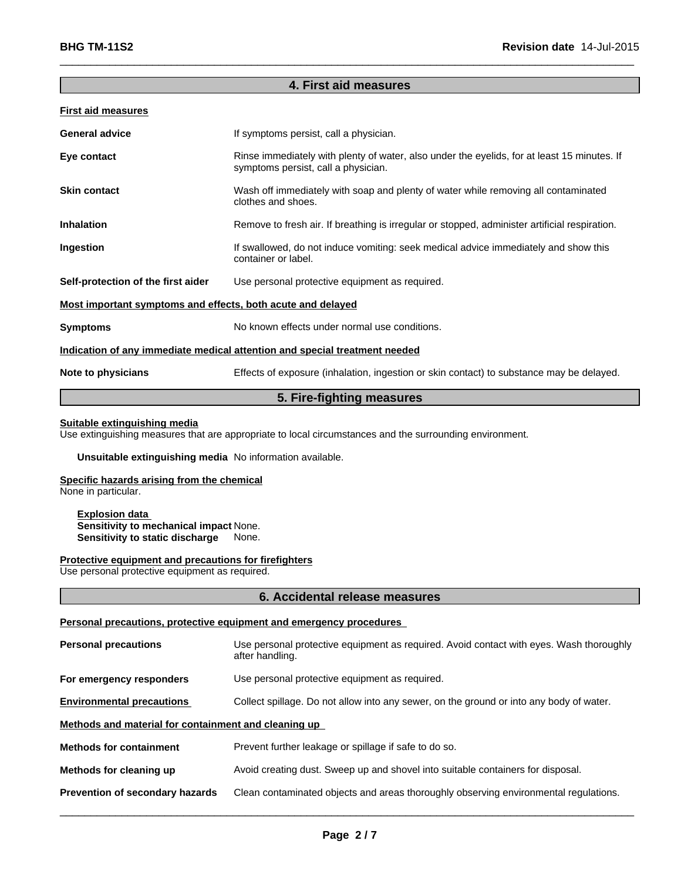## **4. First aid measures**

 $\overline{\phantom{a}}$  ,  $\overline{\phantom{a}}$  ,  $\overline{\phantom{a}}$  ,  $\overline{\phantom{a}}$  ,  $\overline{\phantom{a}}$  ,  $\overline{\phantom{a}}$  ,  $\overline{\phantom{a}}$  ,  $\overline{\phantom{a}}$  ,  $\overline{\phantom{a}}$  ,  $\overline{\phantom{a}}$  ,  $\overline{\phantom{a}}$  ,  $\overline{\phantom{a}}$  ,  $\overline{\phantom{a}}$  ,  $\overline{\phantom{a}}$  ,  $\overline{\phantom{a}}$  ,  $\overline{\phantom{a}}$ 

### **First aid measures**

| <b>General advice</b>                                       | If symptoms persist, call a physician.                                                                                             |
|-------------------------------------------------------------|------------------------------------------------------------------------------------------------------------------------------------|
| Eye contact                                                 | Rinse immediately with plenty of water, also under the eyelids, for at least 15 minutes. If<br>symptoms persist, call a physician. |
| <b>Skin contact</b>                                         | Wash off immediately with soap and plenty of water while removing all contaminated<br>clothes and shoes.                           |
| <b>Inhalation</b>                                           | Remove to fresh air. If breathing is irregular or stopped, administer artificial respiration.                                      |
| Ingestion                                                   | If swallowed, do not induce vomiting: seek medical advice immediately and show this<br>container or label.                         |
| Self-protection of the first aider                          | Use personal protective equipment as required.                                                                                     |
| Most important symptoms and effects, both acute and delayed |                                                                                                                                    |
| <b>Symptoms</b>                                             | No known effects under normal use conditions.                                                                                      |
|                                                             | Indication of any immediate medical attention and special treatment needed                                                         |
| Note to physicians                                          | Effects of exposure (inhalation, ingestion or skin contact) to substance may be delayed.                                           |
|                                                             |                                                                                                                                    |

## **5. Fire-fighting measures**

#### **Suitable extinguishing media**

Use extinguishing measures that are appropriate to local circumstances and the surrounding environment.

#### **Unsuitable extinguishing media** No information available.

## **Specific hazards arising from the chemical**

None in particular.

#### **Explosion data Sensitivity to mechanical impact** None. **Sensitivity to static discharge** None.

#### **Protective equipment and precautions for firefighters**

Use personal protective equipment as required.

#### **6. Accidental release measures**

#### **Personal precautions, protective equipment and emergency procedures**

| <b>Personal precautions</b>                          | Use personal protective equipment as required. Avoid contact with eyes. Wash thoroughly<br>after handling. |  |
|------------------------------------------------------|------------------------------------------------------------------------------------------------------------|--|
| For emergency responders                             | Use personal protective equipment as required.                                                             |  |
| <b>Environmental precautions</b>                     | Collect spillage. Do not allow into any sewer, on the ground or into any body of water.                    |  |
| Methods and material for containment and cleaning up |                                                                                                            |  |
| <b>Methods for containment</b>                       | Prevent further leakage or spillage if safe to do so.                                                      |  |
| Methods for cleaning up                              | Avoid creating dust. Sweep up and shovel into suitable containers for disposal.                            |  |
| Prevention of secondary hazards                      | Clean contaminated objects and areas thoroughly observing environmental regulations.                       |  |
|                                                      |                                                                                                            |  |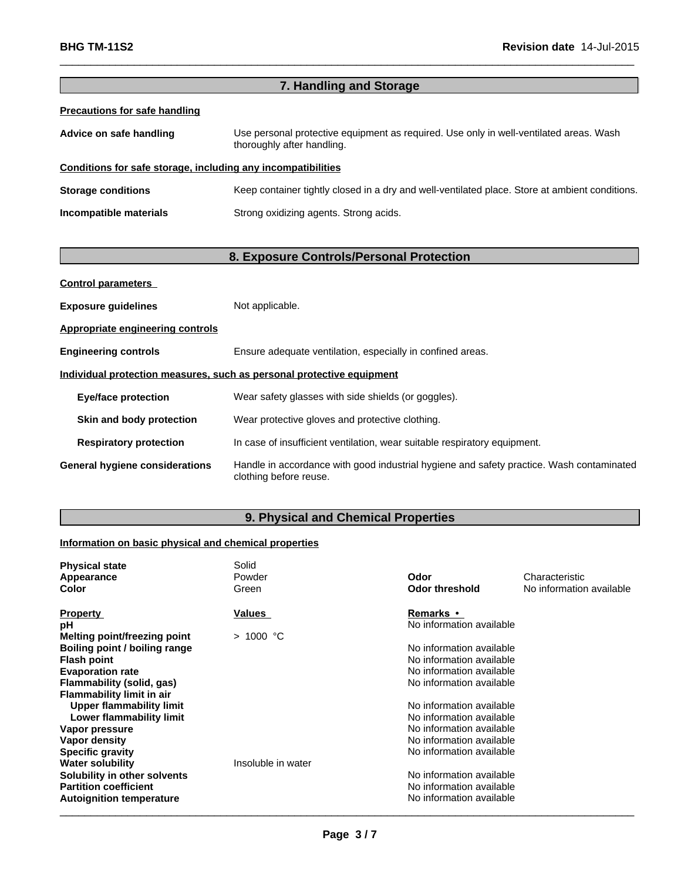| 7. Handling and Storage                                                                                              |  |  |
|----------------------------------------------------------------------------------------------------------------------|--|--|
|                                                                                                                      |  |  |
| Use personal protective equipment as required. Use only in well-ventilated areas. Wash<br>thoroughly after handling. |  |  |
| Conditions for safe storage, including any incompatibilities                                                         |  |  |
| Keep container tightly closed in a dry and well-ventilated place. Store at ambient conditions.                       |  |  |
| Strong oxidizing agents. Strong acids.                                                                               |  |  |
|                                                                                                                      |  |  |

 $\_$  ,  $\_$  ,  $\_$  ,  $\_$  ,  $\_$  ,  $\_$  ,  $\_$  ,  $\_$  ,  $\_$  ,  $\_$  ,  $\_$  ,  $\_$  ,  $\_$  ,  $\_$  ,  $\_$  ,  $\_$  ,  $\_$  ,  $\_$  ,  $\_$  ,  $\_$  ,  $\_$  ,  $\_$  ,  $\_$  ,  $\_$  ,  $\_$  ,  $\_$  ,  $\_$  ,  $\_$  ,  $\_$  ,  $\_$  ,  $\_$  ,  $\_$  ,  $\_$  ,  $\_$  ,  $\_$  ,  $\_$  ,  $\_$  ,

## **8. Exposure Controls/Personal Protection**

| <b>Control parameters</b>               |                                                                                                                    |
|-----------------------------------------|--------------------------------------------------------------------------------------------------------------------|
| <b>Exposure guidelines</b>              | Not applicable.                                                                                                    |
| <b>Appropriate engineering controls</b> |                                                                                                                    |
| <b>Engineering controls</b>             | Ensure adequate ventilation, especially in confined areas.                                                         |
|                                         | Individual protection measures, such as personal protective equipment                                              |
| <b>Eye/face protection</b>              | Wear safety glasses with side shields (or goggles).                                                                |
| Skin and body protection                | Wear protective gloves and protective clothing.                                                                    |
| <b>Respiratory protection</b>           | In case of insufficient ventilation, wear suitable respiratory equipment.                                          |
| <b>General hygiene considerations</b>   | Handle in accordance with good industrial hygiene and safety practice. Wash contaminated<br>clothing before reuse. |

# **9. Physical and Chemical Properties**

## **Information on basic physical and chemical properties**

| <b>Physical state</b>            | Solid<br>Powder    | Odor                     | Characteristic           |
|----------------------------------|--------------------|--------------------------|--------------------------|
| Appearance                       |                    |                          |                          |
| <b>Color</b>                     | Green              | <b>Odor threshold</b>    | No information available |
| <b>Property</b>                  | <b>Values</b>      | Remarks •                |                          |
| рH                               |                    | No information available |                          |
| Melting point/freezing point     | $>1000$ °C         |                          |                          |
| Boiling point / boiling range    |                    | No information available |                          |
| <b>Flash point</b>               |                    | No information available |                          |
| <b>Evaporation rate</b>          |                    | No information available |                          |
| Flammability (solid, gas)        |                    | No information available |                          |
| <b>Flammability limit in air</b> |                    |                          |                          |
| <b>Upper flammability limit</b>  |                    | No information available |                          |
| Lower flammability limit         |                    | No information available |                          |
| Vapor pressure                   |                    | No information available |                          |
| Vapor density                    |                    | No information available |                          |
| <b>Specific gravity</b>          |                    | No information available |                          |
| <b>Water solubility</b>          | Insoluble in water |                          |                          |
| Solubility in other solvents     |                    | No information available |                          |
| <b>Partition coefficient</b>     |                    | No information available |                          |
| <b>Autoignition temperature</b>  |                    | No information available |                          |
|                                  |                    |                          |                          |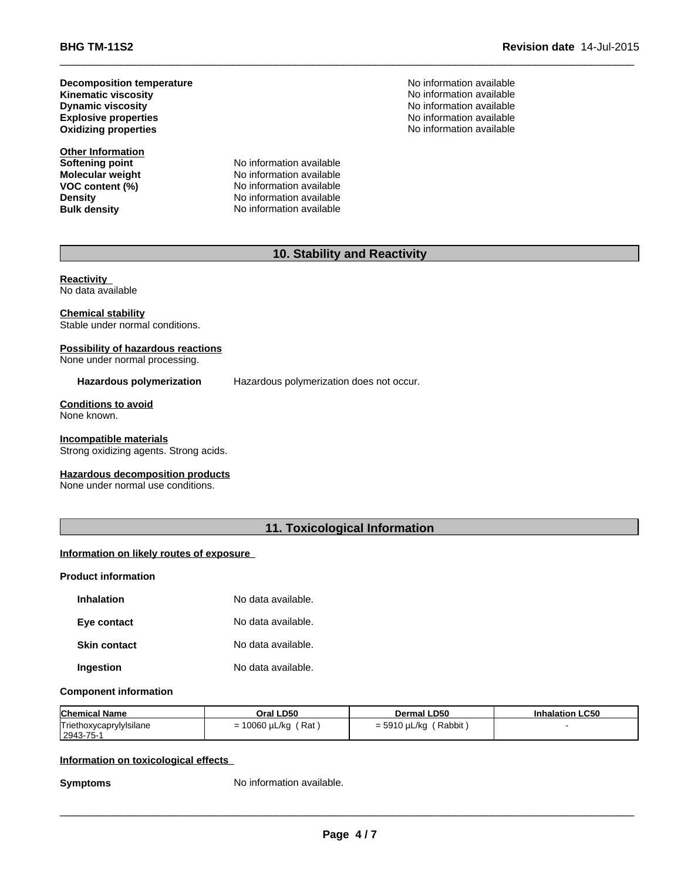**Kinematic viscosity Decomposition temperature Explosive properties**

**Other Information**<br>**Softening point Molecular weight**<br>VOC content (%)

No information available<br>No information available **VOC content (%)** No information available<br>
Density<br>
No information available **Density Density No information available**<br> **Bulk density No information available No information available** 

No information available **No information available** No information available No information available **Oxidizing properties** No information available

 $\_$  ,  $\_$  ,  $\_$  ,  $\_$  ,  $\_$  ,  $\_$  ,  $\_$  ,  $\_$  ,  $\_$  ,  $\_$  ,  $\_$  ,  $\_$  ,  $\_$  ,  $\_$  ,  $\_$  ,  $\_$  ,  $\_$  ,  $\_$  ,  $\_$  ,  $\_$  ,  $\_$  ,  $\_$  ,  $\_$  ,  $\_$  ,  $\_$  ,  $\_$  ,  $\_$  ,  $\_$  ,  $\_$  ,  $\_$  ,  $\_$  ,  $\_$  ,  $\_$  ,  $\_$  ,  $\_$  ,  $\_$  ,  $\_$  ,

# **10. Stability and Reactivity**

#### **Reactivity**  No data available

#### **Chemical stability**

Stable under normal conditions.

#### **Possibility of hazardous reactions** None under normal processing.

Hazardous polymerization **Hazardous polymerization does not occur.** 

#### **Conditions to avoid** None known.

#### **Incompatible materials**

Strong oxidizing agents. Strong acids.

#### **Hazardous decomposition products**

None under normal use conditions.

## **11. Toxicological Information**

#### **Information on likely routes of exposure**

## **Product information**

| <b>Inhalation</b>   | No data available. |
|---------------------|--------------------|
| Eye contact         | No data available. |
| <b>Skin contact</b> | No data available. |
| Ingestion           | No data available. |

#### **Component information**

| <b>Chemical Name</b>                   | Oral LD50         | Dermal LD50                    | <b>Inhalation LC50</b> |
|----------------------------------------|-------------------|--------------------------------|------------------------|
| Triethoxycaprylylsilane<br>  2943-75-1 | 10060 µL/kg (Rat) | Rabbit)<br>) uL/ka<br>$= 5910$ |                        |

#### **Information on toxicological effects**

**Symptoms** No information available.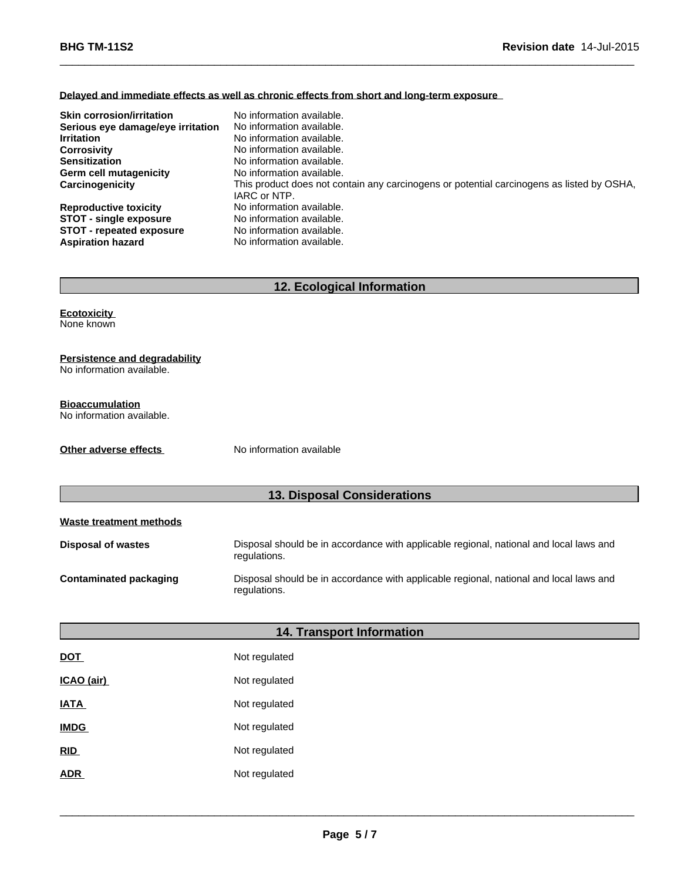#### **Delayed and immediate effects as well as chronic effects from short and long-term exposure**

| <b>Skin corrosion/irritation</b>  | No information available.                                                                 |
|-----------------------------------|-------------------------------------------------------------------------------------------|
| Serious eye damage/eye irritation | No information available.                                                                 |
| <b>Irritation</b>                 | No information available.                                                                 |
| <b>Corrosivity</b>                | No information available.                                                                 |
| <b>Sensitization</b>              | No information available.                                                                 |
| Germ cell mutagenicity            | No information available.                                                                 |
| Carcinogenicity                   | This product does not contain any carcinogens or potential carcinogens as listed by OSHA, |
|                                   | IARC or NTP.                                                                              |
| <b>Reproductive toxicity</b>      | No information available.                                                                 |
| <b>STOT - single exposure</b>     | No information available.                                                                 |
| <b>STOT - repeated exposure</b>   | No information available.                                                                 |
| <b>Aspiration hazard</b>          | No information available.                                                                 |

 $\_$  ,  $\_$  ,  $\_$  ,  $\_$  ,  $\_$  ,  $\_$  ,  $\_$  ,  $\_$  ,  $\_$  ,  $\_$  ,  $\_$  ,  $\_$  ,  $\_$  ,  $\_$  ,  $\_$  ,  $\_$  ,  $\_$  ,  $\_$  ,  $\_$  ,  $\_$  ,  $\_$  ,  $\_$  ,  $\_$  ,  $\_$  ,  $\_$  ,  $\_$  ,  $\_$  ,  $\_$  ,  $\_$  ,  $\_$  ,  $\_$  ,  $\_$  ,  $\_$  ,  $\_$  ,  $\_$  ,  $\_$  ,  $\_$  ,

# **12. Ecological Information**

#### **Ecotoxicity**  None known

#### **Persistence and degradability**

No information available.

## **Bioaccumulation**

No information available.

**Other adverse effects** No information available

# **13. Disposal Considerations**

| Waste treatment methods |                                                                                                        |
|-------------------------|--------------------------------------------------------------------------------------------------------|
| Disposal of wastes      | Disposal should be in accordance with applicable regional, national and local laws and<br>regulations. |
| Contaminated packaging  | Disposal should be in accordance with applicable regional, national and local laws and<br>regulations. |

## **14. Transport Information**

| <b>DOT</b>  | Not regulated |
|-------------|---------------|
| ICAO (air)  | Not regulated |
| <b>IATA</b> | Not regulated |
| <b>IMDG</b> | Not regulated |
| RID         | Not regulated |
| <b>ADR</b>  | Not regulated |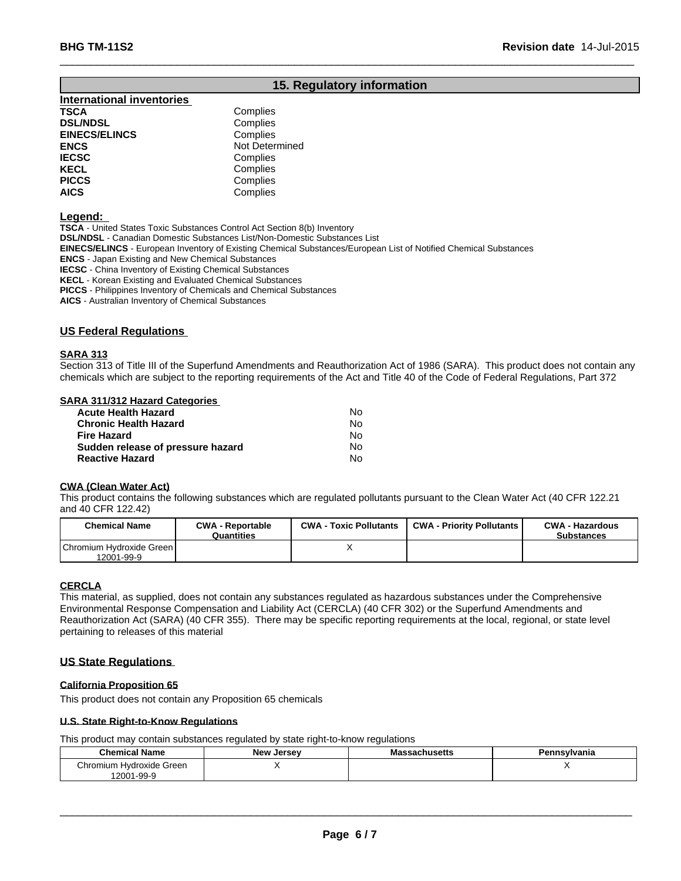## **15. Regulatory information**

 $\_$  ,  $\_$  ,  $\_$  ,  $\_$  ,  $\_$  ,  $\_$  ,  $\_$  ,  $\_$  ,  $\_$  ,  $\_$  ,  $\_$  ,  $\_$  ,  $\_$  ,  $\_$  ,  $\_$  ,  $\_$  ,  $\_$  ,  $\_$  ,  $\_$  ,  $\_$  ,  $\_$  ,  $\_$  ,  $\_$  ,  $\_$  ,  $\_$  ,  $\_$  ,  $\_$  ,  $\_$  ,  $\_$  ,  $\_$  ,  $\_$  ,  $\_$  ,  $\_$  ,  $\_$  ,  $\_$  ,  $\_$  ,  $\_$  ,

#### **International inventories TSCA** Complies

| 1997                 | <b>OUTIDING</b> |  |
|----------------------|-----------------|--|
| <b>DSL/NDSL</b>      | Complies        |  |
| <b>EINECS/ELINCS</b> | Complies        |  |
| ENCS                 | Not Determined  |  |
| <b>IECSC</b>         | Complies        |  |
| KECL                 | Complies        |  |
| <b>PICCS</b>         | Complies        |  |
| AICS                 | Complies        |  |
|                      |                 |  |

#### **Legend:**

**TSCA** - United States Toxic Substances Control Act Section 8(b) Inventory

**DSL/NDSL** - Canadian Domestic Substances List/Non-Domestic Substances List

**EINECS/ELINCS** - European Inventory of Existing Chemical Substances/European List of Notified Chemical Substances

**ENCS** - Japan Existing and New Chemical Substances

**IECSC** - China Inventory of Existing Chemical Substances

**KECL** - Korean Existing and Evaluated Chemical Substances

**PICCS** - Philippines Inventory of Chemicals and Chemical Substances

**AICS** - Australian Inventory of Chemical Substances

#### **US Federal Regulations**

#### **SARA 313**

Section 313 of Title III of the Superfund Amendments and Reauthorization Act of 1986 (SARA). This product does not contain any chemicals which are subject to the reporting requirements of the Act and Title 40 of the Code of Federal Regulations, Part 372

#### **SARA 311/312 Hazard Categories**

| <b>Acute Health Hazard</b>        | N٥ |
|-----------------------------------|----|
| <b>Chronic Health Hazard</b>      | No |
| <b>Fire Hazard</b>                | N٥ |
| Sudden release of pressure hazard | No |
| <b>Reactive Hazard</b>            | No |

#### **CWA (Clean Water Act)**

This product contains the following substances which are regulated pollutants pursuant to the Clean Water Act (40 CFR 122.21 and 40 CFR 122.42)

| <b>Chemical Name</b>                   | <b>CWA - Reportable</b><br>Quantities | <b>CWA - Toxic Pollutants</b> | <b>CWA - Priority Pollutants</b> | <b>CWA - Hazardous</b><br><b>Substances</b> |
|----------------------------------------|---------------------------------------|-------------------------------|----------------------------------|---------------------------------------------|
| Chromium Hydroxide Green<br>12001-99-9 |                                       |                               |                                  |                                             |

#### **CERCLA**

This material, as supplied, does not contain any substances regulated as hazardous substances under the Comprehensive Environmental Response Compensation and Liability Act (CERCLA) (40 CFR 302) or the Superfund Amendments and Reauthorization Act (SARA) (40 CFR 355). There may be specific reporting requirements at the local, regional, or state level pertaining to releases of this material

#### **US State Regulations**

#### **California Proposition 65**

This product does not contain any Proposition 65 chemicals

#### **U.S. State Right-to-Know Regulations**

This product may contain substances regulated by state right-to-know regulations

| <b>Chemical Name</b>     | Jersey<br>יימו | chucatte.<br>acnusens | ำnsylvania<br>. |
|--------------------------|----------------|-----------------------|-----------------|
| Chromium Hydroxide Green | . .            |                       |                 |
| 12001-99-9               |                |                       |                 |